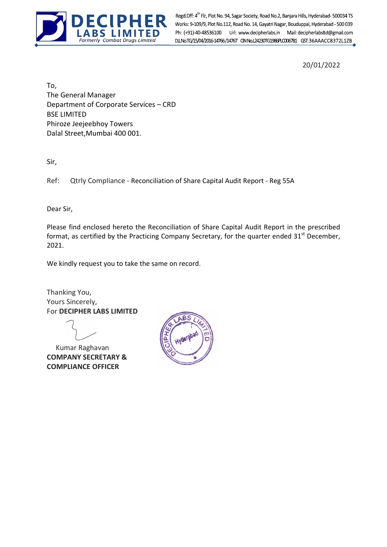

Formerly Combat Drugs Limited Regd.Off: 4<sup>th</sup> Fir, Plot No. 94, Sagar Society, Road No.2, Banjara Hills, Hyderabad- 500034 TS<br>Works: 9-109/9, Plot No.112, Road No. 14, Gayatri Nagar, Bouduppal, Hyderabad - 500 039<br>**ALITED** Ph: (+91)-40-48536100 Url: ww Ph: (+91)-40-48536100 Url: www.decipherlabs.in Mail: decipherlabsltd@gmail.com

20/01/2022

To, The General Manager Department of Corporate Services – CRD BSE LIMITED Phiroze Jeejeebhoy Towers Dalal Street,Mumbai 400 001.

Sir,

Ref: Qtrly Compliance - Reconciliation of Share Capital Audit Report - Reg 55A

Dear Sir,

Please find enclosed hereto the Reconciliation of Share Capital Audit Report in the prescribed format, as certified by the Practicing Company Secretary, for the quarter ended  $31<sup>st</sup>$  December, 2021.

We kindly request you to take the same on record.

Thanking You, Yours Sincerely, For DECIPHER LABS LIMITED

 Kumar Raghavan COMPANY SECRETARY & COMPLIANCE OFFICER

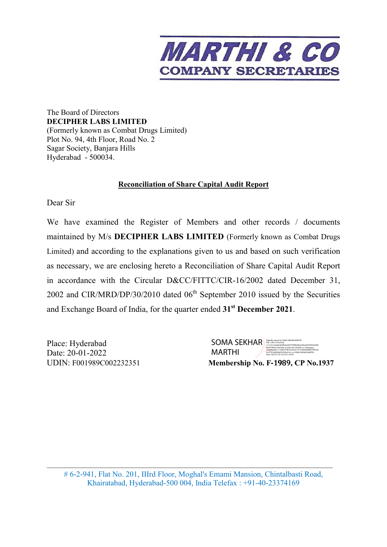

The Board of Directors **DECIPHER LABS LIMITED**  (Formerly known as Combat Drugs Limited) Plot No. 94, 4th Floor, Road No. 2 Sagar Society, Banjara Hills Hyderabad - 500034.

## **Reconciliation of Share Capital Audit Report**

Dear Sir

We have examined the Register of Members and other records / documents maintained by M/s **DECIPHER LABS LIMITED** (Formerly known as Combat Drugs Limited) and according to the explanations given to us and based on such verification as necessary, we are enclosing hereto a Reconciliation of Share Capital Audit Report in accordance with the Circular D&CC/FITTC/CIR-16/2002 dated December 31, 2002 and CIR/MRD/DP/30/2010 dated  $06<sup>th</sup>$  September 2010 issued by the Securities and Exchange Board of India, for the quarter ended **31st December 2021**.

Place: Hyderabad Date: 20-01-2022 **UDIN: F001989C002232351** 

| MARTHI             | 8c27231e402fdd7875d04142.cn=SOMA SEKHAR MARTHI<br>Date: 2022.01.20 16:23:29 +05'30'                                                                                                                                                       |  |  |
|--------------------|-------------------------------------------------------------------------------------------------------------------------------------------------------------------------------------------------------------------------------------------|--|--|
| <b>SOMA SEKHAR</b> | Digitally signed by SOMA SEKHAR MARTHI<br>DN: c=IN, o=Personal.<br>2.5.4.20=0aaf2b3b4fbabe6bf1f39f80af8e0c86ea853f2f34e6496<br>80047085a573d72d6.postalCode=500044.st=Telangana.<br>serialNumber=732f0a724816ca4cbe1377c986438884297f9e2b |  |  |

\_\_\_\_\_\_\_\_\_\_\_\_\_\_\_\_\_\_\_\_\_\_\_\_\_\_\_\_\_\_\_\_\_\_\_\_\_\_\_\_\_\_\_\_\_\_\_\_\_\_\_\_\_\_\_\_\_\_\_\_\_\_\_\_\_\_\_\_\_\_\_\_\_\_\_\_\_\_\_\_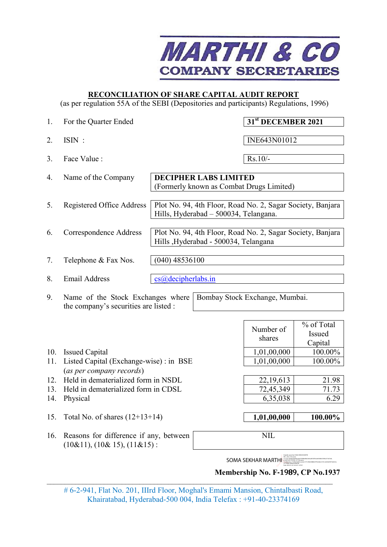

## **RECONCILIATION OF SHARE CAPITAL AUDIT REPORT**

(as per regulation 55A of the SEBI (Depositories and participants) Regulations, 1996)

| 1.  | For the Quarter Ended                                                            |                    |                                       | 31 <sup>st</sup> DECEMBER 2021                                 |                                 |
|-----|----------------------------------------------------------------------------------|--------------------|---------------------------------------|----------------------------------------------------------------|---------------------------------|
| 2.  | $ISIN$ :                                                                         |                    |                                       | INE643N01012                                                   |                                 |
| 3.  | Face Value :                                                                     |                    |                                       | $Rs.10/-$                                                      |                                 |
| 4.  | Name of the Company                                                              |                    | <b>DECIPHER LABS LIMITED</b>          | (Formerly known as Combat Drugs Limited)                       |                                 |
| 5.  | Registered Office Address                                                        |                    | Hills, Hyderabad - 500034, Telangana. | Plot No. 94, 4th Floor, Road No. 2, Sagar Society, Banjara     |                                 |
| 6.  | Correspondence Address                                                           |                    | Hills , Hyderabad - 500034, Telangana | Plot No. 94, 4th Floor, Road No. 2, Sagar Society, Banjara     |                                 |
| 7.  | Telephone & Fax Nos.                                                             | $(040)$ 48536100   |                                       |                                                                |                                 |
| 8.  | <b>Email Address</b>                                                             | cs@decipherlabs.in |                                       |                                                                |                                 |
| 9.  | Name of the Stock Exchanges where<br>the company's securities are listed :       |                    |                                       | Bombay Stock Exchange, Mumbai.                                 |                                 |
|     |                                                                                  |                    |                                       | Number of<br>shares                                            | % of Total<br>Issued<br>Capital |
| 10. | <b>Issued Capital</b>                                                            |                    |                                       | 1,01,00,000                                                    | 100.00%                         |
| 11. | Listed Capital (Exchange-wise) : in BSE                                          |                    | 1,01,00,000                           | 100.00%                                                        |                                 |
|     | (as per company records)                                                         |                    |                                       |                                                                |                                 |
| 12. | Held in dematerialized form in NSDL                                              |                    |                                       | 22,19,613                                                      | 21.98                           |
| 13. | Held in dematerialized form in CDSL                                              |                    |                                       | 72,45,349                                                      | 71.73                           |
| 14. | Physical                                                                         |                    |                                       | 6,35,038                                                       | 6.29                            |
| 15. | Total No. of shares $(12+13+14)$                                                 |                    |                                       | 1,01,00,000                                                    | 100.00%                         |
| 16. | Reasons for difference if any, between<br>$(10\&11)$ , $(10\&15)$ , $(11\&15)$ : |                    |                                       | <b>NIL</b>                                                     |                                 |
|     |                                                                                  |                    |                                       | <b>SOMA SEKHAR MARTHI</b><br>Membership No. F-1989, CP No.1937 |                                 |
|     |                                                                                  |                    |                                       |                                                                |                                 |

# 6-2-941, Flat No. 201, IIIrd Floor, Moghal's Emami Mansion, Chintalbasti Road, Khairatabad, Hyderabad-500 004, India Telefax : +91-40-23374169